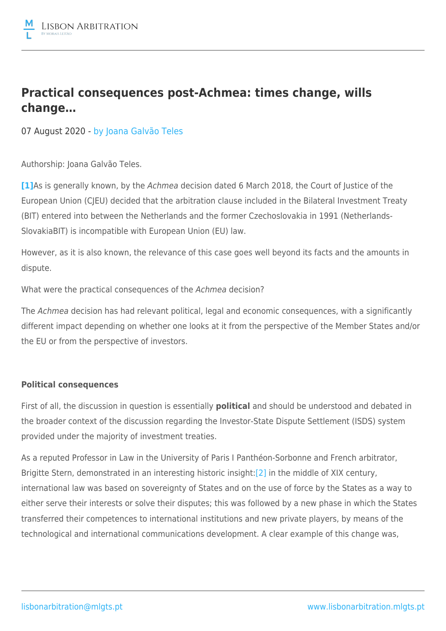

# **Practical consequences post-Achmea: times change, wills change…**

07 August 2020 - by [Joana Galvão Teles](https://lisbonarbitration.mlgts.pt/articles/?f_author=62?v=2)

Authorship: Joana Galvão Teles.

**[\[1\]](file:///C:/Users/CAP/AppData/Local/Microsoft/Windows/INetCache/Content.Outlook/RBQSR3FE/MLGTS_LAWC-#4415857-v1-MLGTS_LAWC-#4396653-v1-MLGTS_LAWC-#4386674-v1-Consequências práticas pós-Achmea_ mudam-se...Eng final version texto revisto 06-08-2020a.DOCX#_ftn1)**As is generally known, by the Achmea decision dated 6 March 2018, the Court of Justice of the European Union (CJEU) decided that the arbitration clause included in the Bilateral Investment Treaty (BIT) entered into between the Netherlands and the former Czechoslovakia in 1991 (Netherlands-SlovakiaBIT) is incompatible with European Union (EU) law.

However, as it is also known, the relevance of this case goes well beyond its facts and the amounts in dispute.

What were the practical consequences of the Achmea decision?

The Achmea decision has had relevant political, legal and economic consequences, with a significantly different impact depending on whether one looks at it from the perspective of the Member States and/or the EU or from the perspective of investors.

## **Political consequences**

First of all, the discussion in question is essentially **political** and should be understood and debated in the broader context of the discussion regarding the Investor-State Dispute Settlement (ISDS) system provided under the majority of investment treaties.

As a reputed Professor in Law in the University of Paris I Panthéon-Sorbonne and French arbitrator, Brigitte Stern, demonstrated in an interesting historic insight[:\[2\]](file:///C:/Users/CAP/AppData/Local/Microsoft/Windows/INetCache/Content.Outlook/RBQSR3FE/MLGTS_LAWC-#4415857-v1-MLGTS_LAWC-#4396653-v1-MLGTS_LAWC-#4386674-v1-Consequências práticas pós-Achmea_ mudam-se...Eng final version texto revisto 06-08-2020a.DOCX#_ftn2) in the middle of XIX century, international law was based on sovereignty of States and on the use of force by the States as a way to either serve their interests or solve their disputes; this was followed by a new phase in which the States transferred their competences to international institutions and new private players, by means of the technological and international communications development. A clear example of this change was,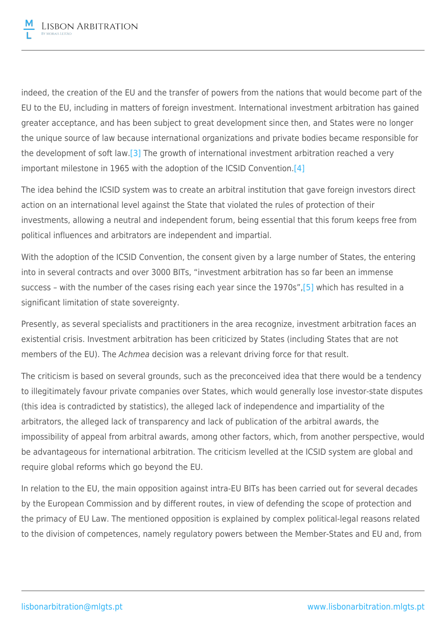indeed, the creation of the EU and the transfer of powers from the nations that would become part of the EU to the EU, including in matters of foreign investment. International investment arbitration has gained greater acceptance, and has been subject to great development since then, and States were no longer the unique source of law because international organizations and private bodies became responsible for the development of soft law.[\[3\]](file:///C:/Users/CAP/AppData/Local/Microsoft/Windows/INetCache/Content.Outlook/RBQSR3FE/MLGTS_LAWC-#4415857-v1-MLGTS_LAWC-#4396653-v1-MLGTS_LAWC-#4386674-v1-Consequências práticas pós-Achmea_ mudam-se...Eng final version texto revisto 06-08-2020a.DOCX#_ftn3) The growth of international investment arbitration reached a very important milestone in 1965 with the adoption of the ICSID Convention[.\[4\]](file:///C:/Users/CAP/AppData/Local/Microsoft/Windows/INetCache/Content.Outlook/RBQSR3FE/MLGTS_LAWC-#4415857-v1-MLGTS_LAWC-#4396653-v1-MLGTS_LAWC-#4386674-v1-Consequências práticas pós-Achmea_ mudam-se...Eng final version texto revisto 06-08-2020a.DOCX#_ftn4)

The idea behind the ICSID system was to create an arbitral institution that gave foreign investors direct action on an international level against the State that violated the rules of protection of their investments, allowing a neutral and independent forum, being essential that this forum keeps free from political influences and arbitrators are independent and impartial.

With the adoption of the ICSID Convention, the consent given by a large number of States, the entering into in several contracts and over 3000 BITs, "investment arbitration has so far been an immense success – with the number of the cases rising each year since the 1970s",[\[5\]](file:///C:/Users/CAP/AppData/Local/Microsoft/Windows/INetCache/Content.Outlook/RBQSR3FE/MLGTS_LAWC-#4415857-v1-MLGTS_LAWC-#4396653-v1-MLGTS_LAWC-#4386674-v1-Consequências práticas pós-Achmea_ mudam-se...Eng final version texto revisto 06-08-2020a.DOCX#_ftn5) which has resulted in a significant limitation of state sovereignty.

Presently, as several specialists and practitioners in the area recognize, investment arbitration faces an existential crisis. Investment arbitration has been criticized by States (including States that are not members of the EU). The Achmea decision was a relevant driving force for that result.

The criticism is based on several grounds, such as the preconceived idea that there would be a tendency to illegitimately favour private companies over States, which would generally lose investor-state disputes (this idea is contradicted by statistics), the alleged lack of independence and impartiality of the arbitrators, the alleged lack of transparency and lack of publication of the arbitral awards, the impossibility of appeal from arbitral awards, among other factors, which, from another perspective, would be advantageous for international arbitration. The criticism levelled at the ICSID system are global and require global reforms which go beyond the EU.

In relation to the EU, the main opposition against intra-EU BITs has been carried out for several decades by the European Commission and by different routes, in view of defending the scope of protection and the primacy of EU Law. The mentioned opposition is explained by complex political-legal reasons related to the division of competences, namely regulatory powers between the Member-States and EU and, from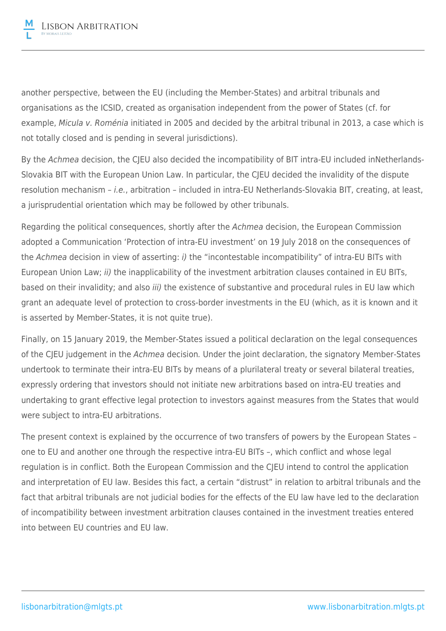another perspective, between the EU (including the Member-States) and arbitral tribunals and organisations as the ICSID, created as organisation independent from the power of States (cf. for example, Micula v. Roménia initiated in 2005 and decided by the arbitral tribunal in 2013, a case which is not totally closed and is pending in several jurisdictions).

By the Achmea decision, the CJEU also decided the incompatibility of BIT intra-EU included inNetherlands-Slovakia BIT with the European Union Law. In particular, the CJEU decided the invalidity of the dispute resolution mechanism – i.e., arbitration – included in intra-EU Netherlands-Slovakia BIT, creating, at least, a jurisprudential orientation which may be followed by other tribunals.

Regarding the political consequences, shortly after the Achmea decision, the European Commission adopted a Communication 'Protection of intra-EU investment' on 19 July 2018 on the consequences of the Achmea decision in view of asserting: i) the "incontestable incompatibility" of intra-EU BITs with European Union Law; ii) the inapplicability of the investment arbitration clauses contained in EU BITs, based on their invalidity; and also *iii*) the existence of substantive and procedural rules in EU law which grant an adequate level of protection to cross-border investments in the EU (which, as it is known and it is asserted by Member-States, it is not quite true).

Finally, on 15 January 2019, the Member-States issued a political declaration on the legal consequences of the CJEU judgement in the Achmea decision. Under the joint declaration, the signatory Member-States undertook to terminate their intra-EU BITs by means of a plurilateral treaty or several bilateral treaties, expressly ordering that investors should not initiate new arbitrations based on intra-EU treaties and undertaking to grant effective legal protection to investors against measures from the States that would were subject to intra-EU arbitrations.

The present context is explained by the occurrence of two transfers of powers by the European States – one to EU and another one through the respective intra-EU BITs –, which conflict and whose legal regulation is in conflict. Both the European Commission and the CJEU intend to control the application and interpretation of EU law. Besides this fact, a certain "distrust" in relation to arbitral tribunals and the fact that arbitral tribunals are not judicial bodies for the effects of the EU law have led to the declaration of incompatibility between investment arbitration clauses contained in the investment treaties entered into between EU countries and EU law.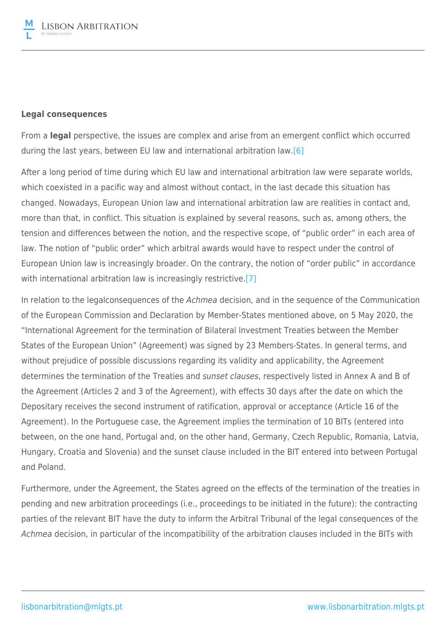#### **Legal consequences**

From a **legal** perspective, the issues are complex and arise from an emergent conflict which occurred during the last years, between EU law and international arbitration law[.\[6\]](file:///C:/Users/CAP/AppData/Local/Microsoft/Windows/INetCache/Content.Outlook/RBQSR3FE/MLGTS_LAWC-#4415857-v1-MLGTS_LAWC-#4396653-v1-MLGTS_LAWC-#4386674-v1-Consequências práticas pós-Achmea_ mudam-se...Eng final version texto revisto 06-08-2020a.DOCX#_ftn6)

After a long period of time during which EU law and international arbitration law were separate worlds, which coexisted in a pacific way and almost without contact, in the last decade this situation has changed. Nowadays, European Union law and international arbitration law are realities in contact and, more than that, in conflict. This situation is explained by several reasons, such as, among others, the tension and differences between the notion, and the respective scope, of "public order" in each area of law. The notion of "public order" which arbitral awards would have to respect under the control of European Union law is increasingly broader. On the contrary, the notion of "order public" in accordance with international arbitration law is increasingly restrictive.<sup>[\[7\]](file:///C:/Users/CAP/AppData/Local/Microsoft/Windows/INetCache/Content.Outlook/RBQSR3FE/MLGTS_LAWC-#4415857-v1-MLGTS_LAWC-#4396653-v1-MLGTS_LAWC-#4386674-v1-Consequências práticas pós-Achmea_ mudam-se...Eng final version texto revisto 06-08-2020a.DOCX#_ftn7)</sup>

In relation to the legalconsequences of the Achmea decision, and in the sequence of the Communication of the European Commission and Declaration by Member-States mentioned above, on 5 May 2020, the "International Agreement for the termination of Bilateral Investment Treaties between the Member States of the European Union" (Agreement) was signed by 23 Members-States. In general terms, and without prejudice of possible discussions regarding its validity and applicability, the Agreement determines the termination of the Treaties and *sunset clauses*, respectively listed in Annex A and B of the Agreement (Articles 2 and 3 of the Agreement), with effects 30 days after the date on which the Depositary receives the second instrument of ratification, approval or acceptance (Article 16 of the Agreement). In the Portuguese case, the Agreement implies the termination of 10 BITs (entered into between, on the one hand, Portugal and, on the other hand, Germany, Czech Republic, Romania, Latvia, Hungary, Croatia and Slovenia) and the sunset clause included in the BIT entered into between Portugal and Poland.

Furthermore, under the Agreement, the States agreed on the effects of the termination of the treaties in pending and new arbitration proceedings (i.e., proceedings to be initiated in the future): the contracting parties of the relevant BIT have the duty to inform the Arbitral Tribunal of the legal consequences of the Achmea decision, in particular of the incompatibility of the arbitration clauses included in the BITs with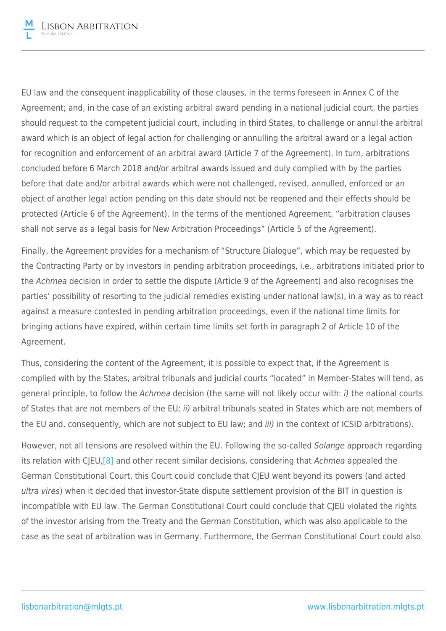EU law and the consequent inapplicability of those clauses, in the terms foreseen in Annex C of the Agreement; and, in the case of an existing arbitral award pending in a national judicial court, the parties should request to the competent judicial court, including in third States, to challenge or annul the arbitral award which is an object of legal action for challenging or annulling the arbitral award or a legal action for recognition and enforcement of an arbitral award (Article 7 of the Agreement). In turn, arbitrations concluded before 6 March 2018 and/or arbitral awards issued and duly complied with by the parties before that date and/or arbitral awards which were not challenged, revised, annulled, enforced or an object of another legal action pending on this date should not be reopened and their effects should be protected (Article 6 of the Agreement). In the terms of the mentioned Agreement, "arbitration clauses shall not serve as a legal basis for New Arbitration Proceedings" (Article 5 of the Agreement).

Finally, the Agreement provides for a mechanism of "Structure Dialogue", which may be requested by the Contracting Party or by investors in pending arbitration proceedings, i.e., arbitrations initiated prior to the Achmea decision in order to settle the dispute (Article 9 of the Agreement) and also recognises the parties' possibility of resorting to the judicial remedies existing under national law(s), in a way as to react against a measure contested in pending arbitration proceedings, even if the national time limits for bringing actions have expired, within certain time limits set forth in paragraph 2 of Article 10 of the Agreement.

Thus, considering the content of the Agreement, it is possible to expect that, if the Agreement is complied with by the States, arbitral tribunals and judicial courts "located" in Member-States will tend, as general principle, to follow the Achmea decision (the same will not likely occur with: i) the national courts of States that are not members of the EU; ii) arbitral tribunals seated in States which are not members of the EU and, consequently, which are not subject to EU law; and iii) in the context of ICSID arbitrations).

However, not all tensions are resolved within the EU. Following the so-called Solange approach regarding its relation with CJEU,<sup>[8]</sup> and other recent similar decisions, considering that Achmea appealed the German Constitutional Court, this Court could conclude that CJEU went beyond its powers (and acted ultra vires) when it decided that investor-State dispute settlement provision of the BIT in question is incompatible with EU law. The German Constitutional Court could conclude that CJEU violated the rights of the investor arising from the Treaty and the German Constitution, which was also applicable to the case as the seat of arbitration was in Germany. Furthermore, the German Constitutional Court could also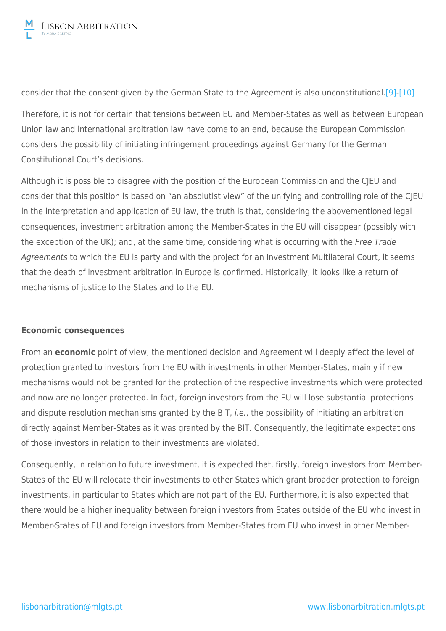consider that the consent given by the German State to the Agreement is also unconstitutional.[\[9\]](file:///C:/Users/CAP/AppData/Local/Microsoft/Windows/INetCache/Content.Outlook/RBQSR3FE/MLGTS_LAWC-#4415857-v1-MLGTS_LAWC-#4396653-v1-MLGTS_LAWC-#4386674-v1-Consequências práticas pós-Achmea_ mudam-se...Eng final version texto revisto 06-08-2020a.DOCX#_ftn9)-[\[10\]](file:///C:/Users/CAP/AppData/Local/Microsoft/Windows/INetCache/Content.Outlook/RBQSR3FE/MLGTS_LAWC-#4415857-v1-MLGTS_LAWC-#4396653-v1-MLGTS_LAWC-#4386674-v1-Consequências práticas pós-Achmea_ mudam-se...Eng final version texto revisto 06-08-2020a.DOCX#_ftn10)

Therefore, it is not for certain that tensions between EU and Member-States as well as between European Union law and international arbitration law have come to an end, because the European Commission considers the possibility of initiating infringement proceedings against Germany for the German Constitutional Court's decisions.

Although it is possible to disagree with the position of the European Commission and the CJEU and consider that this position is based on "an absolutist view" of the unifying and controlling role of the CJEU in the interpretation and application of EU law, the truth is that, considering the abovementioned legal consequences, investment arbitration among the Member-States in the EU will disappear (possibly with the exception of the UK); and, at the same time, considering what is occurring with the Free Trade Agreements to which the EU is party and with the project for an Investment Multilateral Court, it seems that the death of investment arbitration in Europe is confirmed. Historically, it looks like a return of mechanisms of justice to the States and to the EU.

## **Economic consequences**

From an **economic** point of view, the mentioned decision and Agreement will deeply affect the level of protection granted to investors from the EU with investments in other Member-States, mainly if new mechanisms would not be granted for the protection of the respective investments which were protected and now are no longer protected. In fact, foreign investors from the EU will lose substantial protections and dispute resolution mechanisms granted by the BIT, *i.e.*, the possibility of initiating an arbitration directly against Member-States as it was granted by the BIT. Consequently, the legitimate expectations of those investors in relation to their investments are violated.

Consequently, in relation to future investment, it is expected that, firstly, foreign investors from Member-States of the EU will relocate their investments to other States which grant broader protection to foreign investments, in particular to States which are not part of the EU. Furthermore, it is also expected that there would be a higher inequality between foreign investors from States outside of the EU who invest in Member-States of EU and foreign investors from Member-States from EU who invest in other Member-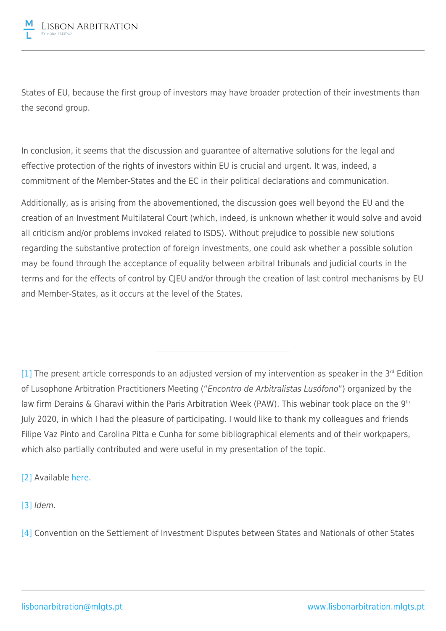

States of EU, because the first group of investors may have broader protection of their investments than the second group.

In conclusion, it seems that the discussion and guarantee of alternative solutions for the legal and effective protection of the rights of investors within EU is crucial and urgent. It was, indeed, a commitment of the Member-States and the EC in their political declarations and communication.

Additionally, as is arising from the abovementioned, the discussion goes well beyond the EU and the creation of an Investment Multilateral Court (which, indeed, is unknown whether it would solve and avoid all criticism and/or problems invoked related to ISDS). Without prejudice to possible new solutions regarding the substantive protection of foreign investments, one could ask whether a possible solution may be found through the acceptance of equality between arbitral tribunals and judicial courts in the terms and for the effects of control by CJEU and/or through the creation of last control mechanisms by EU and Member-States, as it occurs at the level of the States.

 $[1]$  The present article corresponds to an adjusted version of my intervention as speaker in the 3<sup>rd</sup> Edition of Lusophone Arbitration Practitioners Meeting ("Encontro de Arbitralistas Lusófono") organized by the law firm Derains & Gharavi within the Paris Arbitration Week (PAW). This webinar took place on the 9th July 2020, in which I had the pleasure of participating. I would like to thank my colleagues and friends Filipe Vaz Pinto and Carolina Pitta e Cunha for some bibliographical elements and of their workpapers, which also partially contributed and were useful in my presentation of the topic.

[\[2\]](file:///C:/Users/CAP/AppData/Local/Microsoft/Windows/INetCache/Content.Outlook/RBQSR3FE/MLGTS_LAWC-#4415857-v1-MLGTS_LAWC-#4396653-v1-MLGTS_LAWC-#4386674-v1-Consequências práticas pós-Achmea_ mudam-se...Eng final version texto revisto 06-08-2020a.DOCX#_ftnref2) Available [here.](https://globalarbitrationreview.com/article/1211810/the-pendulum-has-swung-back)

[\[3\]](file:///C:/Users/CAP/AppData/Local/Microsoft/Windows/INetCache/Content.Outlook/RBQSR3FE/MLGTS_LAWC-#4415857-v1-MLGTS_LAWC-#4396653-v1-MLGTS_LAWC-#4386674-v1-Consequências práticas pós-Achmea_ mudam-se...Eng final version texto revisto 06-08-2020a.DOCX#_ftnref3) Idem.

[\[4\]](file:///C:/Users/CAP/AppData/Local/Microsoft/Windows/INetCache/Content.Outlook/RBQSR3FE/MLGTS_LAWC-#4415857-v1-MLGTS_LAWC-#4396653-v1-MLGTS_LAWC-#4386674-v1-Consequências práticas pós-Achmea_ mudam-se...Eng final version texto revisto 06-08-2020a.DOCX#_ftnref4) Convention on the Settlement of Investment Disputes between States and Nationals of other States